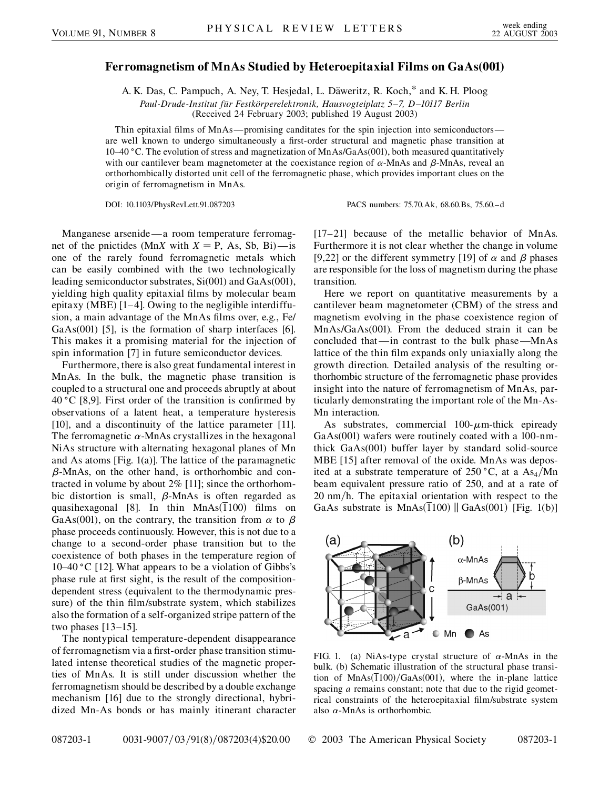## **Ferromagnetism of MnAs Studied by Heteroepitaxial Films on GaAs(001)**

A. K. Das, C. Pampuch, A. Ney, T. Hesjedal, L. Däweritz, R. Koch,\* and K. H. Ploog *Paul-Drude-Institut fu¨r Festko¨rperelektronik, Hausvogteiplatz 5–7, D–10117 Berlin* (Received 24 February 2003; published 19 August 2003)

Thin epitaxial films of MnAs—promising canditates for the spin injection into semiconductors are well known to undergo simultaneously a first-order structural and magnetic phase transition at 10–40 °C. The evolution of stress and magnetization of  $MnAs/GaAs(001)$ , both measured quantitatively with our cantilever beam magnetometer at the coexistance region of  $\alpha$ -MnAs and  $\beta$ -MnAs, reveal an orthorhombically distorted unit cell of the ferromagnetic phase, which provides important clues on the origin of ferromagnetism in MnAs.

DOI: 10.1103/PhysRevLett.91.087203 PACS numbers: 75.70.Ak, 68.60.Bs, 75.60.–d

Manganese arsenide —a room temperature ferromagnet of the pnictides (Mn*X* with  $X = P$ , As, Sb, Bi)—is one of the rarely found ferromagnetic metals which can be easily combined with the two technologically leading semiconductor substrates, Si(001) and GaAs(001), yielding high quality epitaxial films by molecular beam epitaxy (MBE) [1–4]. Owing to the negligible interdiffusion, a main advantage of the MnAs films over, e.g., Fe/ GaAs(001) [5], is the formation of sharp interfaces [6]. This makes it a promising material for the injection of spin information [7] in future semiconductor devices.

Furthermore, there is also great fundamental interest in MnAs. In the bulk, the magnetic phase transition is coupled to a structural one and proceeds abruptly at about 40 °C [8,9]. First order of the transition is confirmed by observations of a latent heat, a temperature hysteresis [10], and a discontinuity of the lattice parameter [11]. The ferromagnetic  $\alpha$ -MnAs crystallizes in the hexagonal NiAs structure with alternating hexagonal planes of Mn and As atoms [Fig. 1(a)]. The lattice of the paramagnetic  $\beta$ -MnAs, on the other hand, is orthorhombic and contracted in volume by about 2% [11]; since the orthorhombic distortion is small,  $\beta$ -MnAs is often regarded as quasihexagonal [8]. In thin  $MnAs(1100)$  films on GaAs(001), on the contrary, the transition from  $\alpha$  to  $\beta$ phase proceeds continuously. However, this is not due to a change to a second-order phase transition but to the coexistence of both phases in the temperature region of 10–40 °C [12]. What appears to be a violation of Gibbs's phase rule at first sight, is the result of the compositiondependent stress (equivalent to the thermodynamic pressure) of the thin film/substrate system, which stabilizes also the formation of a self-organized stripe pattern of the two phases [13–15].

The nontypical temperature-dependent disappearance of ferromagnetism via a first-order phase transition stimulated intense theoretical studies of the magnetic properties of MnAs. It is still under discussion whether the ferromagnetism should be described by a double exchange mechanism [16] due to the strongly directional, hybridized Mn-As bonds or has mainly itinerant character

087203-1 0031-9007/03/91(8)/087203(4)\$20.00 © 2003 The American Physical Society 087203-1

[17–21] because of the metallic behavior of MnAs. Furthermore it is not clear whether the change in volume [9,22] or the different symmetry [19] of  $\alpha$  and  $\beta$  phases are responsible for the loss of magnetism during the phase transition.

Here we report on quantitative measurements by a cantilever beam magnetometer (CBM) of the stress and magnetism evolving in the phase coexistence region of MnAs/GaAs(001). From the deduced strain it can be concluded that —in contrast to the bulk phase—MnAs lattice of the thin film expands only uniaxially along the growth direction. Detailed analysis of the resulting orthorhombic structure of the ferromagnetic phase provides insight into the nature of ferromagnetism of MnAs, particularly demonstrating the important role of the Mn-As-Mn interaction.

As substrates, commercial  $100-\mu$ m-thick epiready GaAs(001) wafers were routinely coated with a 100-nmthick GaAs(001) buffer layer by standard solid-source MBE [15] after removal of the oxide. MnAs was deposited at a substrate temperature of  $250^{\circ}$ C, at a As<sub>4</sub>/Mn beam equivalent pressure ratio of 250, and at a rate of 20 nm/h. The epitaxial orientation with respect to the GaAs substrate is  $MnAs(1100)$  GaAs(001) [Fig. 1(b)]



FIG. 1. (a) NiAs-type crystal structure of  $\alpha$ -MnAs in the bulk. (b) Schematic illustration of the structural phase transition of  $MnAs(1100)/GaAs(001)$ , where the in-plane lattice spacing *a* remains constant; note that due to the rigid geometrical constraints of the heteroepitaxial film/substrate system also  $\alpha$ -MnAs is orthorhombic.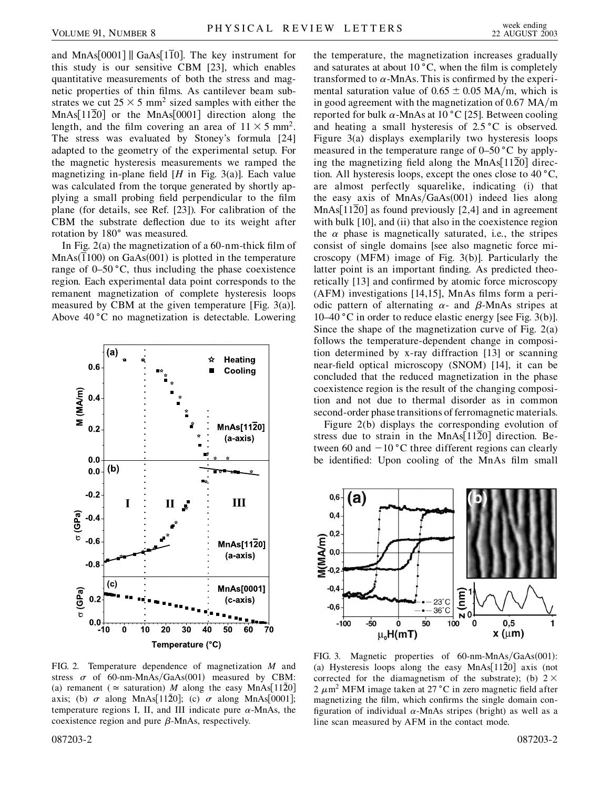and MnAs $[0001]$  | GaAs $[1\overline{1}0]$ . The key instrument for this study is our sensitive CBM [23], which enables quantitative measurements of both the stress and magnetic properties of thin films. As cantilever beam substrates we cut  $25 \times 5$  mm<sup>2</sup> sized samples with either the MnAs[ $11\overline{2}0$ ] or the MnAs[ $0001$ ] direction along the length, and the film covering an area of  $11 \times 5$  mm<sup>2</sup>. The stress was evaluated by Stoney's formula [24] adapted to the geometry of the experimental setup. For the magnetic hysteresis measurements we ramped the magnetizing in-plane field [*H* in Fig. 3(a)]. Each value was calculated from the torque generated by shortly applying a small probing field perpendicular to the film plane (for details, see Ref. [23]). For calibration of the CBM the substrate deflection due to its weight after rotation by 180° was measured.

In Fig.  $2(a)$  the magnetization of a 60-nm-thick film of  $MnAs(\overline{1}100)$  on GaAs(001) is plotted in the temperature range of  $0-50$  °C, thus including the phase coexistence region. Each experimental data point corresponds to the remanent magnetization of complete hysteresis loops measured by CBM at the given temperature [Fig. 3(a)]. Above  $40^{\circ}$ C no magnetization is detectable. Lowering



FIG. 2. Temperature dependence of magnetization *M* and stress  $\sigma$  of 60-nm-MnAs/GaAs(001) measured by CBM: (a) remanent ( $\simeq$  saturation) *M* along the easy MnAs[1120] axis; (b)  $\sigma$  along MnAs[1120]; (c)  $\sigma$  along MnAs[0001]; temperature regions I, II, and III indicate pure  $\alpha$ -MnAs, the coexistence region and pure  $\beta$ -MnAs, respectively.

the temperature, the magnetization increases gradually and saturates at about  $10^{\circ}$ C, when the film is completely transformed to  $\alpha$ -MnAs. This is confirmed by the experimental saturation value of  $0.65 \pm 0.05$  MA/m, which is in good agreement with the magnetization of 0.67 MA/m reported for bulk  $\alpha$ -MnAs at 10 °C [25]. Between cooling and heating a small hysteresis of 2.5 °C is observed. Figure 3(a) displays exemplarily two hysteresis loops measured in the temperature range of  $0-50$  °C by applying the magnetizing field along the  $MnAs[1120]$  direction. All hysteresis loops, except the ones close to 40 °C, are almost perfectly squarelike, indicating (i) that the easy axis of MnAs/GaAs(001) indeed lies along MnAs[1120] as found previously  $[2,4]$  and in agreement with bulk [10], and (ii) that also in the coexistence region the  $\alpha$  phase is magnetically saturated, i.e., the stripes consist of single domains [see also magnetic force microscopy (MFM) image of Fig. 3(b)]. Particularly the latter point is an important finding. As predicted theoretically [13] and confirmed by atomic force microscopy (AFM) investigations [14,15], MnAs films form a periodic pattern of alternating  $\alpha$ - and  $\beta$ -MnAs stripes at  $10-40$  °C in order to reduce elastic energy [see Fig. 3(b)]. Since the shape of the magnetization curve of Fig.  $2(a)$ follows the temperature-dependent change in composition determined by x-ray diffraction [13] or scanning near-field optical microscopy (SNOM) [14], it can be concluded that the reduced magnetization in the phase coexistence region is the result of the changing composition and not due to thermal disorder as in common second-order phase transitions of ferromagnetic materials.

Figure 2(b) displays the corresponding evolution of stress due to strain in the MnAs $[11\overline{2}0]$  direction. Between 60 and  $-10$  °C three different regions can clearly be identified: Upon cooling of the MnAs film small



FIG. 3. Magnetic properties of 60-nm-MnAs/GaAs(001): (a) Hysteresis loops along the easy MnAs $[11\overline{2}0]$  axis (not corrected for the diamagnetism of the substrate); (b)  $2 \times$ 2  $\mu$ m<sup>2</sup> MFM image taken at 27 °C in zero magnetic field after magnetizing the film, which confirms the single domain configuration of individual  $\alpha$ -MnAs stripes (bright) as well as a line scan measured by AFM in the contact mode.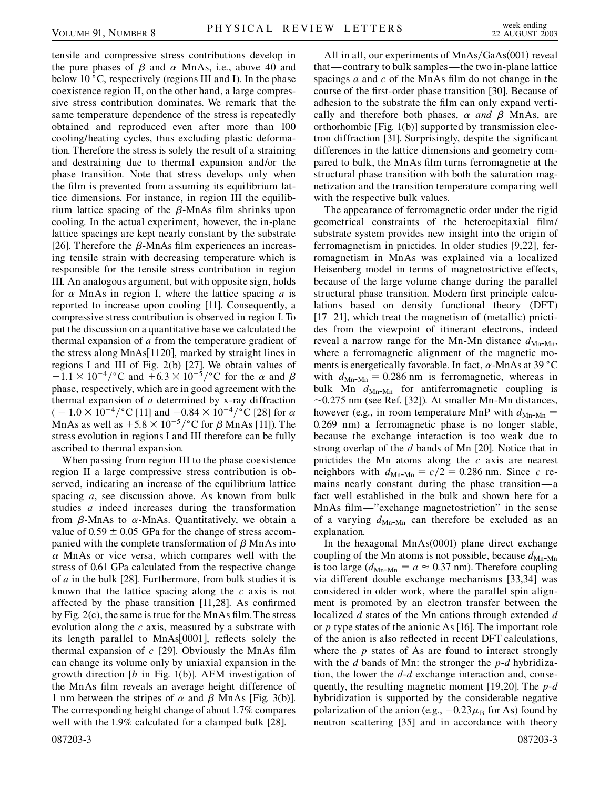tensile and compressive stress contributions develop in the pure phases of  $\beta$  and  $\alpha$  MnAs, i.e., above 40 and below 10  $^{\circ}$ C, respectively (regions III and I). In the phase coexistence region II, on the other hand, a large compressive stress contribution dominates. We remark that the same temperature dependence of the stress is repeatedly obtained and reproduced even after more than 100 cooling/heating cycles, thus excluding plastic deformation. Therefore the stress is solely the result of a straining and destraining due to thermal expansion and/or the phase transition. Note that stress develops only when the film is prevented from assuming its equilibrium lattice dimensions. For instance, in region III the equilibrium lattice spacing of the  $\beta$ -MnAs film shrinks upon cooling. In the actual experiment, however, the in-plane lattice spacings are kept nearly constant by the substrate [26]. Therefore the  $\beta$ -MnAs film experiences an increasing tensile strain with decreasing temperature which is responsible for the tensile stress contribution in region III. An analogous argument, but with opposite sign, holds for  $\alpha$  MnAs in region I, where the lattice spacing  $\alpha$  is reported to increase upon cooling [11]. Consequently, a compressive stress contribution is observed in region I. To put the discussion on a quantitative base we calculated the thermal expansion of *a* from the temperature gradient of the stress along MnAs[ $11\overline{2}0$ ], marked by straight lines in regions I and III of Fig. 2(b) [27]. We obtain values of  $-1.1 \times 10^{-4}$  / $\degree$ C and  $+6.3 \times 10^{-5}$  / $\degree$ C for the  $\alpha$  and  $\beta$ phase, respectively, which are in good agreement with the thermal expansion of *a* determined by x-ray diffraction  $(1 - 1.0 \times 10^{-4} / \degree \text{C} [11]$  and  $-0.84 \times 10^{-4} / \degree \text{C} [28]$  for  $\alpha$ MnAs as well as  $+5.8 \times 10^{-5} / \degree$ C for  $\beta$  MnAs [11]). The stress evolution in regions I and III therefore can be fully ascribed to thermal expansion.

When passing from region III to the phase coexistence region II a large compressive stress contribution is observed, indicating an increase of the equilibrium lattice spacing *a*, see discussion above. As known from bulk studies *a* indeed increases during the transformation from  $\beta$ -MnAs to  $\alpha$ -MnAs. Quantitatively, we obtain a value of  $0.59 \pm 0.05$  GPa for the change of stress accompanied with the complete transformation of  $\beta$  MnAs into  $\alpha$  MnAs or vice versa, which compares well with the stress of 0.61 GPa calculated from the respective change of *a* in the bulk [28]. Furthermore, from bulk studies it is known that the lattice spacing along the *c* axis is not affected by the phase transition [11,28]. As confirmed by Fig. 2(c), the same is true for the MnAs film. The stress evolution along the *c* axis, measured by a substrate with its length parallel to  $MnAs[0001]$ , reflects solely the thermal expansion of *c* [29]. Obviously the MnAs film can change its volume only by uniaxial expansion in the growth direction [*b* in Fig. 1(b)]. AFM investigation of the MnAs film reveals an average height difference of 1 nm between the stripes of  $\alpha$  and  $\beta$  MnAs [Fig. 3(b)]. The corresponding height change of about 1.7% compares well with the 1.9% calculated for a clamped bulk [28].

All in all, our experiments of MnAs/GaAs(001) reveal that —contrary to bulk samples—the two in-plane lattice spacings *a* and *c* of the MnAs film do not change in the course of the first-order phase transition [30]. Because of adhesion to the substrate the film can only expand vertically and therefore both phases,  $\alpha$  and  $\beta$  MnAs, are orthorhombic [Fig. 1(b)] supported by transmission electron diffraction [31]. Surprisingly, despite the significant differences in the lattice dimensions and geometry compared to bulk, the MnAs film turns ferromagnetic at the structural phase transition with both the saturation magnetization and the transition temperature comparing well with the respective bulk values.

The appearance of ferromagnetic order under the rigid geometrical constraints of the heteroepitaxial film/ substrate system provides new insight into the origin of ferromagnetism in pnictides. In older studies [9,22], ferromagnetism in MnAs was explained via a localized Heisenberg model in terms of magnetostrictive effects, because of the large volume change during the parallel structural phase transition. Modern first principle calculations based on density functional theory (DFT) [17–21], which treat the magnetism of (metallic) pnictides from the viewpoint of itinerant electrons, indeed reveal a narrow range for the Mn-Mn distance  $d_{\text{Mn-Mn}}$ , where a ferromagnetic alignment of the magnetic moments is energetically favorable. In fact,  $\alpha$ -MnAs at 39 °C with  $d_{\text{Mn-Mn}} = 0.286$  nm is ferromagnetic, whereas in bulk Mn  $d_{\text{Mn-Mn}}$  for antiferromagnetic coupling is  $\sim$ 0.275 nm (see Ref. [32]). At smaller Mn-Mn distances, however (e.g., in room temperature MnP with  $d_{Mn-Mn}$  = 0*:*269 nm) a ferromagnetic phase is no longer stable, because the exchange interaction is too weak due to strong overlap of the *d* bands of Mn [20]. Notice that in pnictides the Mn atoms along the *c* axis are nearest neighbors with  $d_{\text{Mn-Mn}} = c/2 = 0.286$  nm. Since *c* remains nearly constant during the phase transition—a fact well established in the bulk and shown here for a MnAs film—''exchange magnetostriction'' in the sense of a varying  $d_{\text{Mn-Mn}}$  can therefore be excluded as an explanation.

In the hexagonal MnAs(0001) plane direct exchange coupling of the Mn atoms is not possible, because  $d_{Mn-Mn}$ is too large ( $d_{\text{Mn-Mn}} = a \approx 0.37 \text{ nm}$ ). Therefore coupling via different double exchange mechanisms [33,34] was considered in older work, where the parallel spin alignment is promoted by an electron transfer between the localized *d* states of the Mn cations through extended *d* or *p* type states of the anionic As [16]. The important role of the anion is also reflected in recent DFT calculations, where the *p* states of As are found to interact strongly with the *d* bands of Mn: the stronger the *p*-*d* hybridization, the lower the *d*-*d* exchange interaction and, consequently, the resulting magnetic moment [19,20]. The *p*-*d* hybridization is supported by the considerable negative polarization of the anion (e.g.,  $-0.23\mu_B$  for As) found by neutron scattering [35] and in accordance with theory